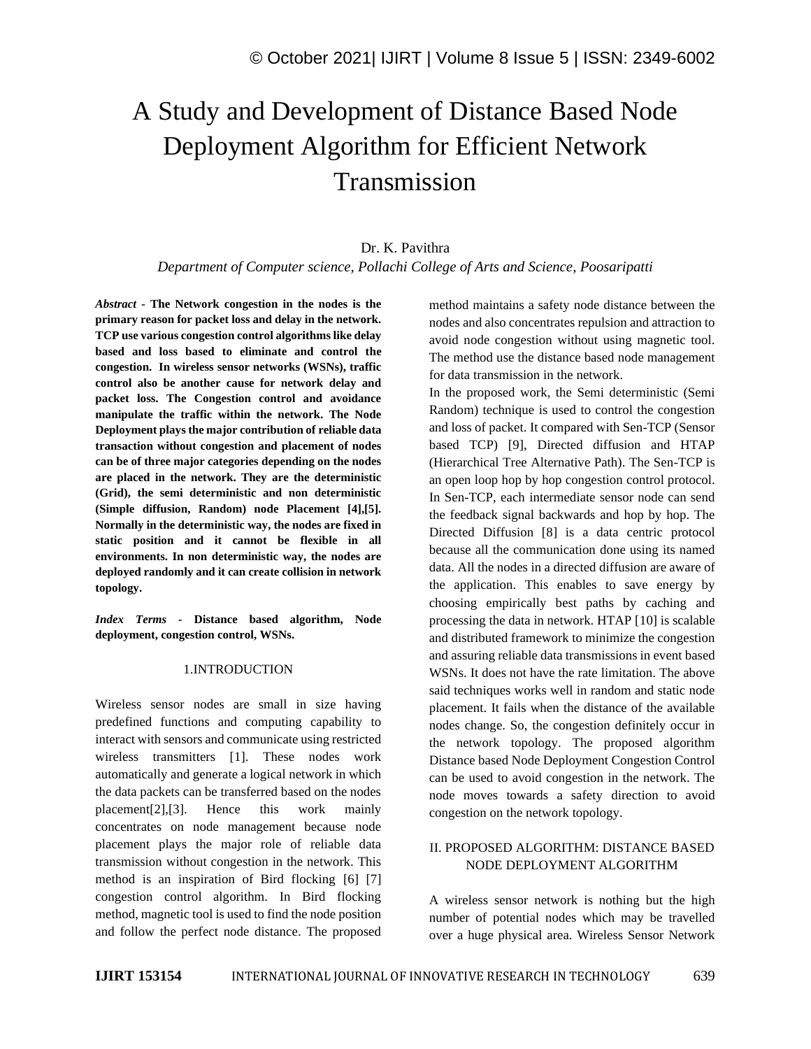# A Study and Development of Distance Based Node Deployment Algorithm for Efficient Network Transmission

## Dr. K. Pavithra

*Department of Computer science, Pollachi College of Arts and Science, Poosaripatti*

*Abstract -* **The Network congestion in the nodes is the primary reason for packet loss and delay in the network. TCP use various congestion control algorithms like delay based and loss based to eliminate and control the congestion. In wireless sensor networks (WSNs), traffic control also be another cause for network delay and packet loss. The Congestion control and avoidance manipulate the traffic within the network. The Node Deployment plays the major contribution of reliable data transaction without congestion and placement of nodes can be of three major categories depending on the nodes are placed in the network. They are the deterministic (Grid), the semi deterministic and non deterministic (Simple diffusion, Random) node Placement [4],[5]. Normally in the deterministic way, the nodes are fixed in static position and it cannot be flexible in all environments. In non deterministic way, the nodes are deployed randomly and it can create collision in network topology.**

*Index Terms -* **Distance based algorithm, Node deployment, congestion control, WSNs.**

### 1.INTRODUCTION

Wireless sensor nodes are small in size having predefined functions and computing capability to interact with sensors and communicate using restricted wireless transmitters [1]. These nodes work automatically and generate a logical network in which the data packets can be transferred based on the nodes placement[2],[3]. Hence this work mainly concentrates on node management because node placement plays the major role of reliable data transmission without congestion in the network. This method is an inspiration of Bird flocking [6] [7] congestion control algorithm. In Bird flocking method, magnetic tool is used to find the node position and follow the perfect node distance. The proposed method maintains a safety node distance between the nodes and also concentrates repulsion and attraction to avoid node congestion without using magnetic tool. The method use the distance based node management for data transmission in the network.

In the proposed work, the Semi deterministic (Semi Random) technique is used to control the congestion and loss of packet. It compared with Sen-TCP (Sensor based TCP) [9], Directed diffusion and HTAP (Hierarchical Tree Alternative Path). The Sen-TCP is an open loop hop by hop congestion control protocol. In Sen-TCP, each intermediate sensor node can send the feedback signal backwards and hop by hop. The Directed Diffusion [8] is a data centric protocol because all the communication done using its named data. All the nodes in a directed diffusion are aware of the application. This enables to save energy by choosing empirically best paths by caching and processing the data in network. HTAP [10] is scalable and distributed framework to minimize the congestion and assuring reliable data transmissions in event based WSNs. It does not have the rate limitation. The above said techniques works well in random and static node placement. It fails when the distance of the available nodes change. So, the congestion definitely occur in the network topology. The proposed algorithm Distance based Node Deployment Congestion Control can be used to avoid congestion in the network. The node moves towards a safety direction to avoid congestion on the network topology.

## II. PROPOSED ALGORITHM: DISTANCE BASED NODE DEPLOYMENT ALGORITHM

A wireless sensor network is nothing but the high number of potential nodes which may be travelled over a huge physical area. Wireless Sensor Network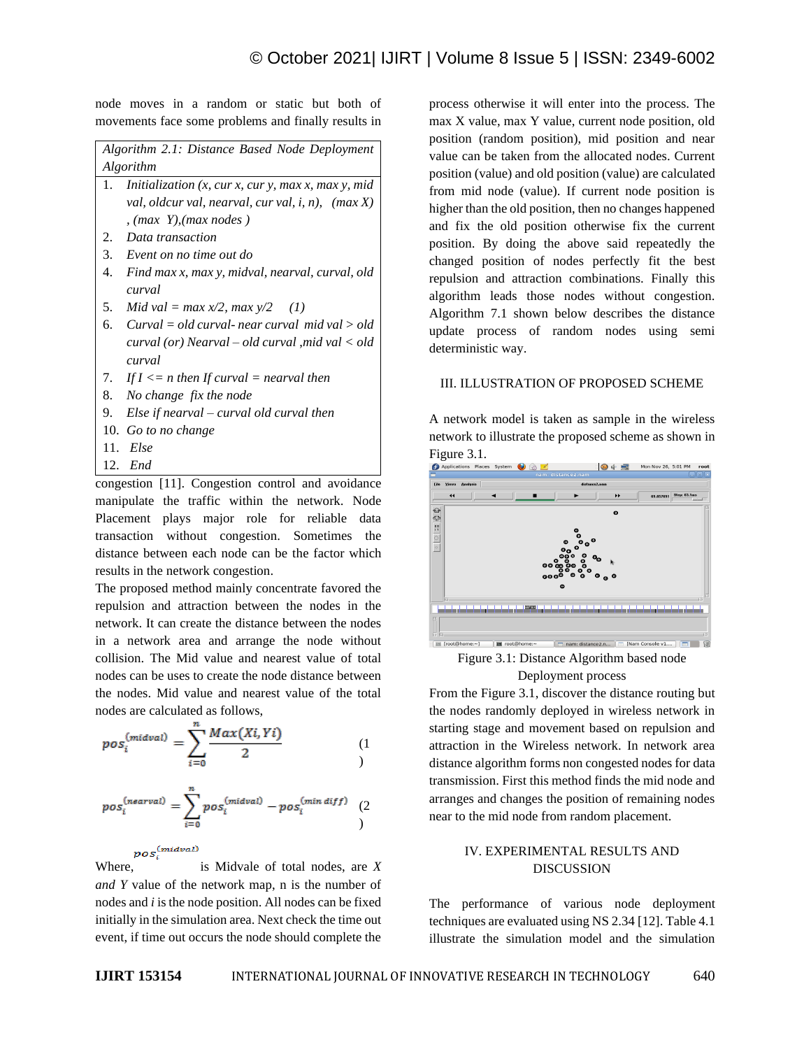node moves in a random or static but both of movements face some problems and finally results in

*Algorithm 2.1: Distance Based Node Deployment Algorithm*

- 1. *Initialization (x, cur x, cur y, max x, max y, mid val, oldcur val, nearval, cur val, i, n), (max X) , (max Y),(max nodes )*
- 2. *Data transaction*
- 3. *Event on no time out do*
- 4. *Find max x, max y, midval, nearval, curval, old curval*
- 5. *Mid val* =  $max x/2$ ,  $max y/2$  (1)
- 6. *Curval = old curval- near curval mid val > old curval (or) Nearval – old curval* ,*mid val < old curval*
- 7. If  $I \le n$  then If curval = nearval then
- 8. *No change fix the node*
- 9. *Else if nearval – curval old curval then*
- 10. *Go to no change*
- 11. *Else*
- 12. *End*

congestion [11]. Congestion control and avoidance manipulate the traffic within the network. Node Placement plays major role for reliable data transaction without congestion. Sometimes the distance between each node can be the factor which results in the network congestion.

The proposed method mainly concentrate favored the repulsion and attraction between the nodes in the network. It can create the distance between the nodes in a network area and arrange the node without collision. The Mid value and nearest value of total nodes can be uses to create the node distance between the nodes. Mid value and nearest value of the total nodes are calculated as follows,

$$
pos_i^{(midval)} = \sum_{i=0}^{n} \frac{Max(Xi, Yi)}{2} \qquad (1)
$$

$$
pos_i^{(nearval)} = \sum_{i=0}^{n} pos_i^{(midval)} - pos_i^{(min\;diff)} \quad (2
$$

```
pos_i^{(midval)}
```
Where, is Midvale of total nodes, are *X and Y* value of the network map, n is the number of nodes and *i* is the node position. All nodes can be fixed initially in the simulation area. Next check the time out event, if time out occurs the node should complete the process otherwise it will enter into the process. The max X value, max Y value, current node position, old position (random position), mid position and near value can be taken from the allocated nodes. Current position (value) and old position (value) are calculated from mid node (value). If current node position is higher than the old position, then no changes happened and fix the old position otherwise fix the current position. By doing the above said repeatedly the changed position of nodes perfectly fit the best repulsion and attraction combinations. Finally this algorithm leads those nodes without congestion. Algorithm 7.1 shown below describes the distance update process of random nodes using semi deterministic way.

#### III. ILLUSTRATION OF PROPOSED SCHEME

A network model is taken as sample in the wireless network to illustrate the proposed scheme as shown in **Figure 3.1.**<br> **O** Applications Places System  $\bullet$  &



Figure 3.1: Distance Algorithm based node Deployment process

From the Figure 3.1, discover the distance routing but the nodes randomly deployed in wireless network in starting stage and movement based on repulsion and attraction in the Wireless network. In network area distance algorithm forms non congested nodes for data transmission. First this method finds the mid node and arranges and changes the position of remaining nodes near to the mid node from random placement.

## IV. EXPERIMENTAL RESULTS AND DISCUSSION

The performance of various node deployment techniques are evaluated using NS 2.34 [12]. Table 4.1 illustrate the simulation model and the simulation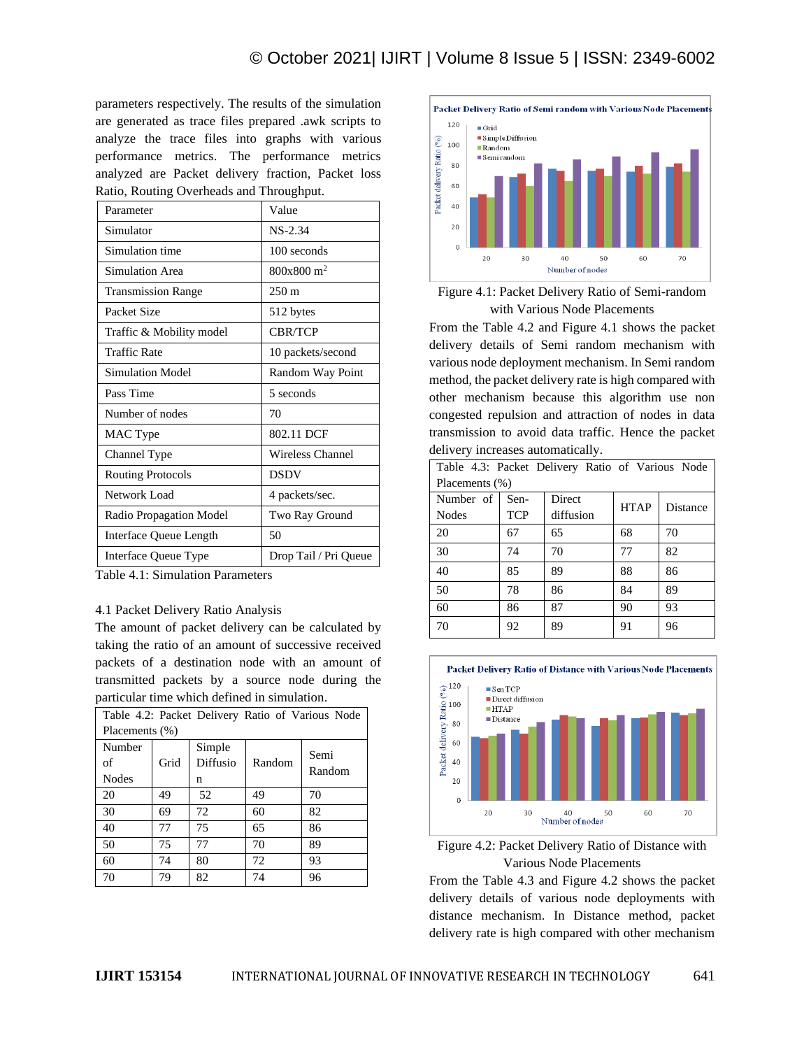parameters respectively. The results of the simulation are generated as trace files prepared .awk scripts to analyze the trace files into graphs with various performance metrics. The performance metrics analyzed are Packet delivery fraction, Packet loss Ratio, Routing Overheads and Throughput.

| Parameter                 | Value                   |
|---------------------------|-------------------------|
| Simulator                 | $NS-2.34$               |
| Simulation time           | 100 seconds             |
| Simulation Area           | 800x800 m <sup>2</sup>  |
| <b>Transmission Range</b> | $250 \text{ m}$         |
| Packet Size               | 512 bytes               |
| Traffic & Mobility model  | <b>CBR/TCP</b>          |
| <b>Traffic Rate</b>       | 10 packets/second       |
| <b>Simulation Model</b>   | Random Way Point        |
| Pass Time                 | 5 seconds               |
| Number of nodes           | 70                      |
| MAC Type                  | 802.11 DCF              |
| Channel Type              | <b>Wireless Channel</b> |
| <b>Routing Protocols</b>  | <b>DSDV</b>             |
| Network Load              | 4 packets/sec.          |
| Radio Propagation Model   | Two Ray Ground          |
| Interface Queue Length    | 50                      |
| Interface Queue Type      | Drop Tail / Pri Queue   |

Table 4.1: Simulation Parameters

#### 4.1 Packet Delivery Ratio Analysis

The amount of packet delivery can be calculated by taking the ratio of an amount of successive received packets of a destination node with an amount of transmitted packets by a source node during the particular time which defined in simulation.

| Table 4.2: Packet Delivery Ratio of Various Node |                |                         |        |                |  |  |
|--------------------------------------------------|----------------|-------------------------|--------|----------------|--|--|
|                                                  | Placements (%) |                         |        |                |  |  |
| Number<br>of<br><b>Nodes</b>                     | Grid           | Simple<br>Diffusio<br>n | Random | Semi<br>Random |  |  |
| 20                                               | 49             | 52                      | 49     | 70             |  |  |
| 30                                               | 69             | 72                      | 60     | 82             |  |  |
| 40                                               | 77             | 75                      | 65     | 86             |  |  |
| 50                                               | 75             | 77                      | 70     | 89             |  |  |
| 60                                               | 74             | 80                      | 72     | 93             |  |  |
| 70                                               | 79             | 82                      | 74     | 96             |  |  |





From the Table 4.2 and Figure 4.1 shows the packet delivery details of Semi random mechanism with various node deployment mechanism. In Semi random method, the packet delivery rate is high compared with other mechanism because this algorithm use non congested repulsion and attraction of nodes in data transmission to avoid data traffic. Hence the packet delivery increases automatically.

| Table 4.3: Packet Delivery Ratio of Various Node |                   |           |             |          |  |
|--------------------------------------------------|-------------------|-----------|-------------|----------|--|
|                                                  | Placements $(\%)$ |           |             |          |  |
| Number of                                        | Sen-              | Direct    | <b>HTAP</b> | Distance |  |
| <b>Nodes</b>                                     | <b>TCP</b>        | diffusion |             |          |  |
| 20                                               | 67                | 65        | 68          | 70       |  |
| 30                                               | 74                | 70        | 77          | 82       |  |
| 40                                               | 85                | 89        | 88          | 86       |  |
| 50                                               | 78                | 86        | 84          | 89       |  |
| 60                                               | 86                | 87        | 90          | 93       |  |
| 70                                               | 92                | 89        | 91          | 96       |  |





From the Table 4.3 and Figure 4.2 shows the packet delivery details of various node deployments with distance mechanism. In Distance method, packet delivery rate is high compared with other mechanism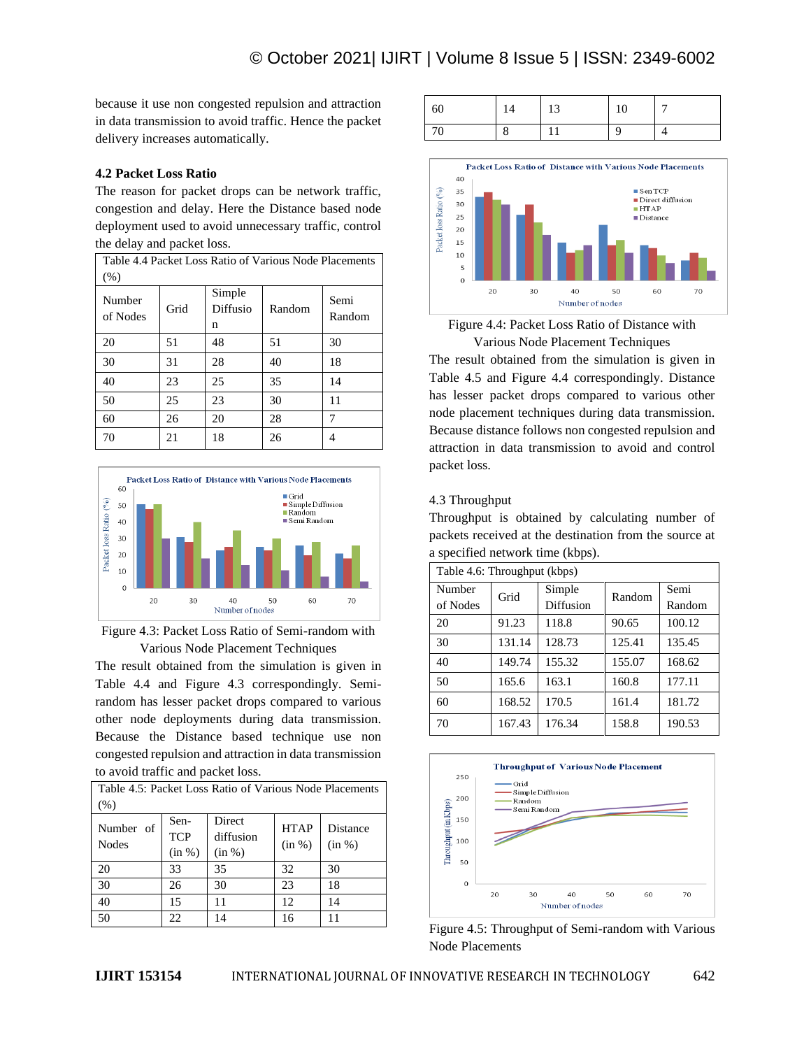because it use non congested repulsion and attraction in data transmission to avoid traffic. Hence the packet delivery increases automatically.

## **4.2 Packet Loss Ratio**

The reason for packet drops can be network traffic, congestion and delay. Here the Distance based node deployment used to avoid unnecessary traffic, control the delay and packet loss.

| Table 4.4 Packet Loss Ratio of Various Node Placements |      |                         |        |                |  |
|--------------------------------------------------------|------|-------------------------|--------|----------------|--|
| $(\% )$                                                |      |                         |        |                |  |
| Number<br>of Nodes                                     | Grid | Simple<br>Diffusio<br>n | Random | Semi<br>Random |  |
| 20                                                     | 51   | 48                      | 51     | 30             |  |
| 30                                                     | 31   | 28                      | 40     | 18             |  |
| 40                                                     | 23   | 25                      | 35     | 14             |  |
| 50                                                     | 25   | 23                      | 30     | 11             |  |
| 60                                                     | 26   | 20                      | 28     | 7              |  |
| 70                                                     | 21   | 18                      | 26     |                |  |



Figure 4.3: Packet Loss Ratio of Semi-random with Various Node Placement Techniques

The result obtained from the simulation is given in Table 4.4 and Figure 4.3 correspondingly. Semirandom has lesser packet drops compared to various other node deployments during data transmission. Because the Distance based technique use non congested repulsion and attraction in data transmission to avoid traffic and packet loss.

| Table 4.5: Packet Loss Ratio of Various Node Placements |                    |                     |                       |                    |  |
|---------------------------------------------------------|--------------------|---------------------|-----------------------|--------------------|--|
| (% )                                                    |                    |                     |                       |                    |  |
| Number of<br><b>Nodes</b>                               | Sen-<br><b>TCP</b> | Direct<br>diffusion | <b>HTAP</b><br>(in %) | Distance<br>(in %) |  |
|                                                         | (in %)             | (in %)              |                       |                    |  |
| 20                                                      | 33                 | 35                  | 32                    | 30                 |  |
| 30                                                      | 26                 | 30                  | 23                    | 18                 |  |
| 40                                                      | 15                 | 11                  | 12                    | 14                 |  |
| 50                                                      | 22                 | 14                  | 16                    |                    |  |







The result obtained from the simulation is given in Table 4.5 and Figure 4.4 correspondingly. Distance has lesser packet drops compared to various other node placement techniques during data transmission. Because distance follows non congested repulsion and attraction in data transmission to avoid and control packet loss.

## 4.3 Throughput

Throughput is obtained by calculating number of packets received at the destination from the source at a specified network time (kbps).

| Table 4.6: Throughput (kbps) |        |                     |        |                |
|------------------------------|--------|---------------------|--------|----------------|
| Number<br>of Nodes           | Grid   | Simple<br>Diffusion | Random | Semi<br>Random |
| 20                           | 91.23  | 118.8               | 90.65  | 100.12         |
| 30                           | 131.14 | 128.73              | 125.41 | 135.45         |
| 40                           | 149.74 | 155.32              | 155.07 | 168.62         |
| 50                           | 165.6  | 163.1               | 160.8  | 177.11         |
| 60                           | 168.52 | 170.5               | 161.4  | 181.72         |
| 70                           | 167.43 | 176.34              | 158.8  | 190.53         |



Figure 4.5: Throughput of Semi-random with Various Node Placements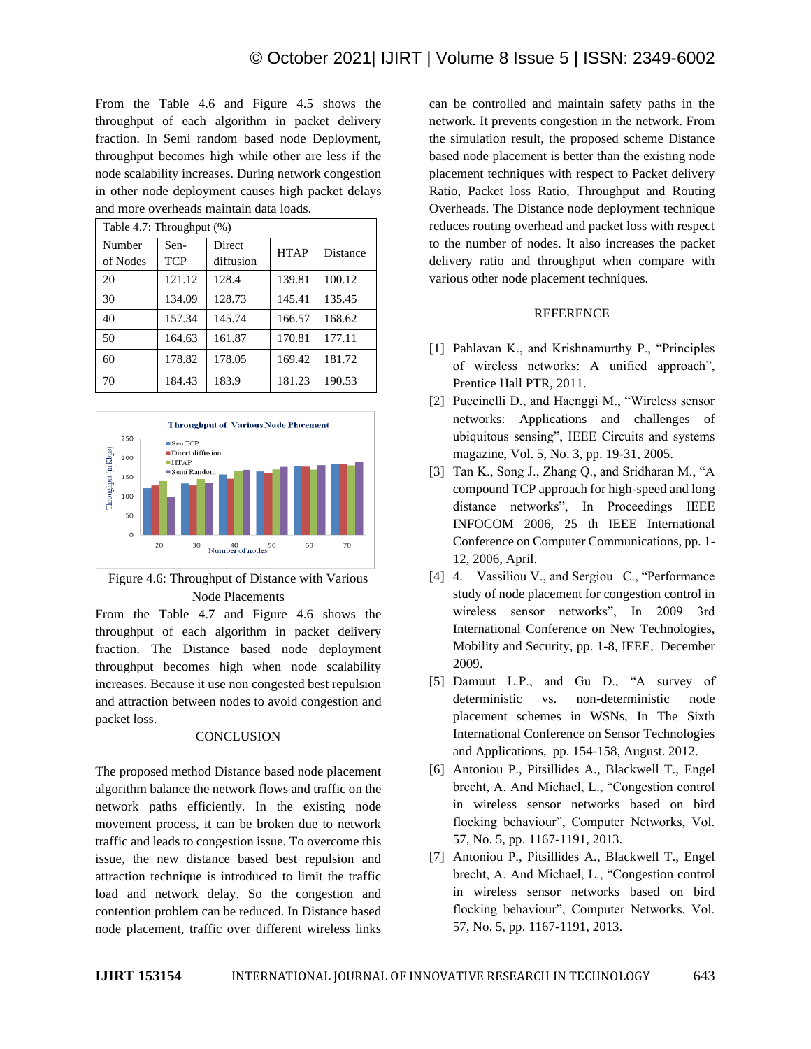From the Table 4.6 and Figure 4.5 shows the throughput of each algorithm in packet delivery fraction. In Semi random based node Deployment, throughput becomes high while other are less if the node scalability increases. During network congestion in other node deployment causes high packet delays and more overheads maintain data loads.

| Table 4.7: Throughput (%) |                    |                            |             |          |
|---------------------------|--------------------|----------------------------|-------------|----------|
| Number<br>of Nodes        | Sen-<br><b>TCP</b> | <b>Direct</b><br>diffusion | <b>HTAP</b> | Distance |
| 20                        | 121.12             | 128.4                      | 139.81      | 100.12   |
| 30                        | 134.09             | 128.73                     | 145.41      | 135.45   |
| 40                        | 157.34             | 145.74                     | 166.57      | 168.62   |
| 50                        | 164.63             | 161.87                     | 170.81      | 177.11   |
| 60                        | 178.82             | 178.05                     | 169.42      | 181.72   |
| 70                        | 184.43             | 183.9                      | 181.23      | 190.53   |



Figure 4.6: Throughput of Distance with Various Node Placements

From the Table 4.7 and Figure 4.6 shows the throughput of each algorithm in packet delivery fraction. The Distance based node deployment throughput becomes high when node scalability increases. Because it use non congested best repulsion and attraction between nodes to avoid congestion and packet loss.

#### **CONCLUSION**

The proposed method Distance based node placement algorithm balance the network flows and traffic on the network paths efficiently. In the existing node movement process, it can be broken due to network traffic and leads to congestion issue. To overcome this issue, the new distance based best repulsion and attraction technique is introduced to limit the traffic load and network delay. So the congestion and contention problem can be reduced. In Distance based node placement, traffic over different wireless links

can be controlled and maintain safety paths in the network. It prevents congestion in the network. From the simulation result, the proposed scheme Distance based node placement is better than the existing node placement techniques with respect to Packet delivery Ratio, Packet loss Ratio, Throughput and Routing Overheads. The Distance node deployment technique reduces routing overhead and packet loss with respect to the number of nodes. It also increases the packet delivery ratio and throughput when compare with various other node placement techniques.

#### REFERENCE

- [1] Pahlavan K., and Krishnamurthy P., "Principles of wireless networks: A unified approach", Prentice Hall PTR, 2011.
- [2] Puccinelli D., and Haenggi M., "Wireless sensor networks: Applications and challenges of ubiquitous sensing", IEEE Circuits and systems magazine, Vol. 5, No. 3, pp. 19-31, 2005.
- [3] Tan K., Song J., Zhang Q., and Sridharan M., "A compound TCP approach for high-speed and long distance networks", In Proceedings IEEE INFOCOM 2006, 25 th IEEE International Conference on Computer Communications, pp. 1- 12, 2006, April.
- [4] 4. Vassiliou V., and Sergiou C., "Performance study of node placement for congestion control in wireless sensor networks", In 2009 3rd International Conference on New Technologies, Mobility and Security, pp. 1-8, IEEE, December 2009.
- [5] Damuut L.P., and Gu D., "A survey of deterministic vs. non-deterministic node placement schemes in WSNs, In The Sixth International Conference on Sensor Technologies and Applications, pp. 154-158, August. 2012.
- [6] Antoniou P., Pitsillides A., Blackwell T., Engel brecht, A. And Michael, L., "Congestion control in wireless sensor networks based on bird flocking behaviour", Computer Networks, Vol. 57, No. 5, pp. 1167-1191, 2013.
- [7] Antoniou P., Pitsillides A., Blackwell T., Engel brecht, A. And Michael, L., "Congestion control in wireless sensor networks based on bird flocking behaviour", Computer Networks, Vol. 57, No. 5, pp. 1167-1191, 2013.